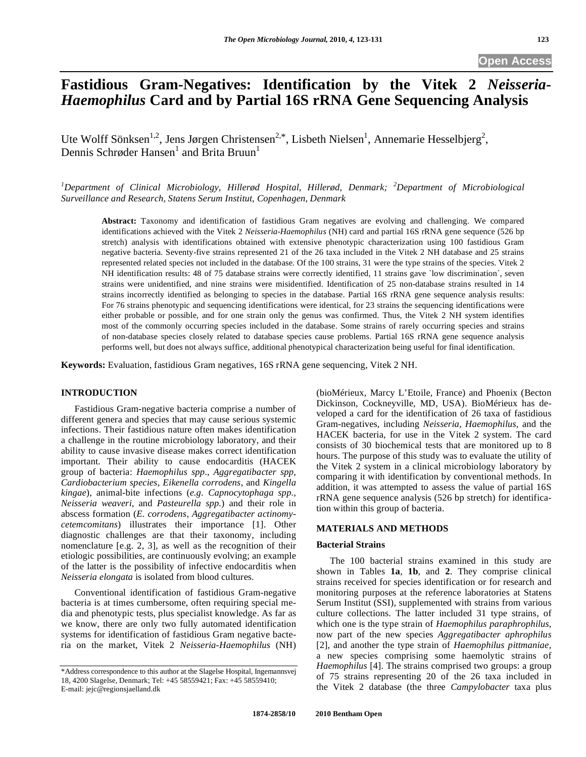# **Fastidious Gram-Negatives: Identification by the Vitek 2** *Neisseria-Haemophilus* **Card and by Partial 16S rRNA Gene Sequencing Analysis**

Ute Wolff Sönksen<sup>1,2</sup>, Jens Jørgen Christensen<sup>2,\*</sup>, Lisbeth Nielsen<sup>1</sup>, Annemarie Hesselbjerg<sup>2</sup>, Dennis Schrøder Hansen<sup>1</sup> and Brita Bruun<sup>1</sup>

*1 Department of Clinical Microbiology, Hillerød Hospital, Hillerød, Denmark; <sup>2</sup> Department of Microbiological Surveillance and Research, Statens Serum Institut, Copenhagen, Denmark* 

**Abstract:** Taxonomy and identification of fastidious Gram negatives are evolving and challenging. We compared identifications achieved with the Vitek 2 *Neisseria-Haemophilus* (NH) card and partial 16S rRNA gene sequence (526 bp stretch) analysis with identifications obtained with extensive phenotypic characterization using 100 fastidious Gram negative bacteria. Seventy-five strains represented 21 of the 26 taxa included in the Vitek 2 NH database and 25 strains represented related species not included in the database. Of the 100 strains, 31 were the type strains of the species. Vitek 2 NH identification results: 48 of 75 database strains were correctly identified, 11 strains gave `low discrimination´, seven strains were unidentified, and nine strains were misidentified. Identification of 25 non-database strains resulted in 14 strains incorrectly identified as belonging to species in the database. Partial 16S rRNA gene sequence analysis results: For 76 strains phenotypic and sequencing identifications were identical, for 23 strains the sequencing identifications were either probable or possible, and for one strain only the genus was confirmed. Thus, the Vitek 2 NH system identifies most of the commonly occurring species included in the database. Some strains of rarely occurring species and strains of non-database species closely related to database species cause problems. Partial 16S rRNA gene sequence analysis performs well, but does not always suffice, additional phenotypical characterization being useful for final identification.

**Keywords:** Evaluation, fastidious Gram negatives, 16S rRNA gene sequencing, Vitek 2 NH.

### **INTRODUCTION**

 Fastidious Gram-negative bacteria comprise a number of different genera and species that may cause serious systemic infections. Their fastidious nature often makes identification a challenge in the routine microbiology laboratory, and their ability to cause invasive disease makes correct identification important. Their ability to cause endocarditis (HACEK group of bacteria: *Haemophilus spp*., *Aggregatibacter spp*, *Cardiobacterium species*, *Eikenella corrodens*, and *Kingella kingae*), animal-bite infections (*e.g. Capnocytophaga spp., Neisseria weaveri,* and *Pasteurella spp.*) and their role in abscess formation (*E. corrodens, Aggregatibacter actinomycetemcomitans*) illustrates their importance [1]. Other diagnostic challenges are that their taxonomy, including nomenclature [e.g. 2, 3], as well as the recognition of their etiologic possibilities, are continuously evolving; an example of the latter is the possibility of infective endocarditis when *Neisseria elongata* is isolated from blood cultures.

 Conventional identification of fastidious Gram-negative bacteria is at times cumbersome, often requiring special media and phenotypic tests, plus specialist knowledge. As far as we know, there are only two fully automated identification systems for identification of fastidious Gram negative bacteria on the market, Vitek 2 *Neisseria-Haemophilus* (NH)

(bioMérieux, Marcy L'Etoile, France) and Phoenix (Becton Dickinson, Cockneyville, MD, USA). BioMérieux has developed a card for the identification of 26 taxa of fastidious Gram-negatives, including *Neisseria, Haemophilus*, and the HACEK bacteria, for use in the Vitek 2 system. The card consists of 30 biochemical tests that are monitored up to 8 hours. The purpose of this study was to evaluate the utility of the Vitek 2 system in a clinical microbiology laboratory by comparing it with identification by conventional methods. In addition, it was attempted to assess the value of partial 16S rRNA gene sequence analysis (526 bp stretch) for identification within this group of bacteria.

### **MATERIALS AND METHODS**

### **Bacterial Strains**

 The 100 bacterial strains examined in this study are shown in Tables **1a**, **1b**, and **2**. They comprise clinical strains received for species identification or for research and monitoring purposes at the reference laboratories at Statens Serum Institut (SSI), supplemented with strains from various culture collections. The latter included 31 type strains, of which one is the type strain of *Haemophilus paraphrophilus*, now part of the new species *Aggregatibacter aphrophilus*  [2], and another the type strain of *Haemophilus pittmaniae*, a new species comprising some haemolytic strains of *Haemophilus* [4]. The strains comprised two groups: a group of 75 strains representing 20 of the 26 taxa included in the Vitek 2 database (the three *Campylobacter* taxa plus

<sup>\*</sup>Address correspondence to this author at the Slagelse Hospital, Ingemannsvej 18, 4200 Slagelse, Denmark; Tel: +45 58559421; Fax: +45 58559410; E-mail: jejc@regionsjaelland.dk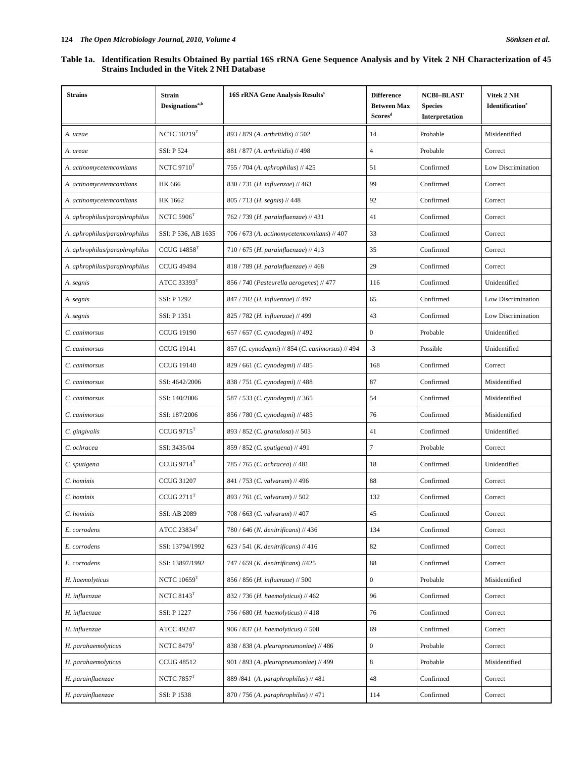### **Table 1a. Identification Results Obtained By partial 16S rRNA Gene Sequence Analysis and by Vitek 2 NH Characterization of 45 Strains Included in the Vitek 2 NH Database**

| <b>Strains</b>                | Strain<br>Designations <sup>a,b</sup> | 16S rRNA Gene Analysis Results <sup>c</sup>      | <b>Difference</b><br><b>Between Max</b><br>Scores <sup>d</sup> | <b>NCBI-BLAST</b><br><b>Species</b><br>Interpretation | Vitek 2 NH<br>Identification <sup>e</sup> |
|-------------------------------|---------------------------------------|--------------------------------------------------|----------------------------------------------------------------|-------------------------------------------------------|-------------------------------------------|
| A. ureae                      | NCTC $10219$ <sup>T</sup>             | 893 / 879 (A. arthritidis) // 502                | 14                                                             | Probable                                              | Misidentified                             |
| A. ureae                      | <b>SSI: P 524</b>                     | 881 / 877 (A. arthritidis) // 498                | $\overline{4}$                                                 | Probable                                              | Correct                                   |
| A. actinomycetemcomitans      | NCTC $9710$ <sup>T</sup>              | 755 / 704 (A. aphrophilus) // 425                | 51                                                             | Confirmed                                             | Low Discrimination                        |
| A. actinomycetemcomitans      | <b>HK 666</b>                         | $830/731$ ( <i>H. influenzae</i> ) // 463        | 99                                                             | Confirmed                                             | Correct                                   |
| A. actinomycetemcomitans      | HK 1662                               | $805/713$ ( <i>H. segnis</i> ) // 448            | 92                                                             | Confirmed                                             | Correct                                   |
| A. aphrophilus/paraphrophilus | NCTC $5906$ <sup>T</sup>              | 762 / 739 (H. parainfluenzae) // 431             | 41                                                             | Confirmed                                             | Correct                                   |
| A. aphrophilus/paraphrophilus | SSI: P 536, AB 1635                   | 706 / 673 (A. actinomycetemcomitans) // 407      | 33                                                             | Confirmed                                             | Correct                                   |
| A. aphrophilus/paraphrophilus | $CCUG$ 14858 $T$                      | 710 / 675 (H. parainfluenzae) // 413             | 35                                                             | Confirmed                                             | Correct                                   |
| A. aphrophilus/paraphrophilus | <b>CCUG 49494</b>                     | 818 / 789 (H. parainfluenzae) // 468             | 29                                                             | Confirmed                                             | Correct                                   |
| A. segnis                     | ATCC 33393 $T$                        | 856 / 740 (Pasteurella aerogenes) // 477         | 116                                                            | Confirmed                                             | Unidentified                              |
| A. segnis                     | SSI: P 1292                           | 847 / 782 (H. influenzae) // 497                 | 65                                                             | Confirmed                                             | Low Discrimination                        |
| A. segnis                     | SSI: P 1351                           | 825 / 782 (H. influenzae) // 499                 | 43                                                             | Confirmed                                             | Low Discrimination                        |
| C. canimorsus                 | <b>CCUG 19190</b>                     | 657 / 657 (C. cynodegmi) // 492                  | $\boldsymbol{0}$                                               | Probable                                              | Unidentified                              |
| C. canimorsus                 | <b>CCUG 19141</b>                     | 857 (C. cynodegmi) // 854 (C. canimorsus) // 494 | $-3$                                                           | Possible                                              | Unidentified                              |
| C. canimorsus                 | CCUG 19140                            | 829 / 661 (C. cynodegmi) // 485                  | 168                                                            | Confirmed                                             | Correct                                   |
| C. canimorsus                 | SSI: 4642/2006                        | 838 / 751 (C. cynodegmi) // 488                  | 87                                                             | Confirmed                                             | Misidentified                             |
| C. canimorsus                 | SSI: 140/2006                         | 587 / 533 (C. cynodegmi) // 365                  | 54                                                             | Confirmed                                             | Misidentified                             |
| C. canimorsus                 | SSI: 187/2006                         | 856 / 780 (C. cynodegmi) // 485                  | 76                                                             | Confirmed                                             | Misidentified                             |
| C. gingivalis                 | CCUG 9715 <sup>T</sup>                | 893 / 852 (C. granulosa) // 503                  | 41                                                             | Confirmed                                             | Unidentified                              |
| C. ochracea                   | SSI: 3435/04                          | 859 / 852 (C. sputigena) // 491                  | $\overline{7}$                                                 | Probable                                              | Correct                                   |
| C. sputigena                  | CCUG 9714 <sup>T</sup>                | 785 / 765 (C. ochracea) // 481                   | 18                                                             | Confirmed                                             | Unidentified                              |
| C. hominis                    | <b>CCUG 31207</b>                     | 841/753 (C. valvarum) // 496                     | 88                                                             | Confirmed                                             | Correct                                   |
| C. hominis                    | CCUG 2711 <sup>T</sup>                | 893 / 761 (C. valvarum) // 502                   | 132                                                            | Confirmed                                             | Correct                                   |
| C. hominis                    | SSI: AB 2089                          | 708 / 663 (C. valvarum) // 407                   | 45                                                             | Confirmed                                             | Correct                                   |
| E. corrodens                  | ATCC $23834^{\mathrm{T}}$             | 780 / 646 (N. denitrificans) // 436              | 134                                                            | Confirmed                                             | Correct                                   |
| E. corrodens                  | SSI: 13794/1992                       | $623 / 541$ ( <i>K. denitrificans</i> ) // 416   | 82                                                             | Confirmed                                             | Correct                                   |
| E. corrodens                  | SSI: 13897/1992                       | 747 / 659 (K. denitrificans) //425               | 88                                                             | Confirmed                                             | Correct                                   |
| H. haemolyticus               | NCTC $10659$ <sup>T</sup>             | 856 / 856 (H. influenzae) // 500                 | $\boldsymbol{0}$                                               | Probable                                              | Misidentified                             |
| H. influenzae                 | NCTC $8143$ <sup>T</sup>              | 832 / 736 (H. haemolyticus) // 462               | 96                                                             | Confirmed                                             | Correct                                   |
| H. influenzae                 | SSI: P 1227                           | 756 / 680 (H. haemolyticus) // 418               | 76                                                             | Confirmed                                             | Correct                                   |
| H. influenzae                 | ATCC 49247                            | 906 / 837 (H. haemolyticus) // 508               | 69                                                             | Confirmed                                             | Correct                                   |
| H. parahaemolyticus           | NCTC $8479$ <sup>T</sup>              | 838 / 838 (A. pleuropneumoniae) // 486           | $\boldsymbol{0}$                                               | Probable                                              | Correct                                   |
| H. parahaemolyticus           | <b>CCUG 48512</b>                     | 901 / 893 (A. pleuropneumoniae) // 499           | 8                                                              | Probable                                              | Misidentified                             |
| H. parainfluenzae             | NCTC $7857$ <sup>T</sup>              | 889 / 841 (A. paraphrophilus) // 481             | 48                                                             | Confirmed                                             | Correct                                   |
| H. parainfluenzae             | SSI: P 1538                           | 870 / 756 (A. paraphrophilus) // 471             | 114                                                            | Confirmed                                             | Correct                                   |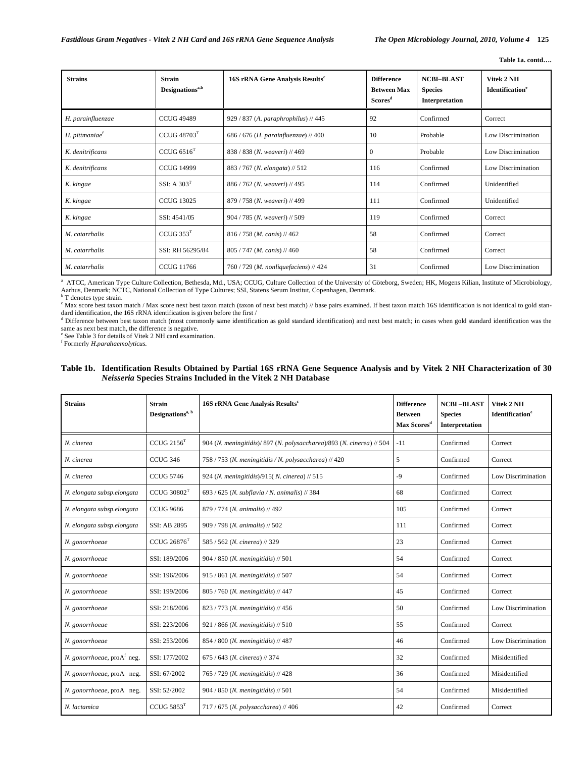| <b>Strains</b>             | <b>Strain</b><br>Designations <sup>a,b</sup> | 16S rRNA Gene Analysis Results <sup>c</sup> | <b>Difference</b><br><b>Between Max</b><br>Scores <sup>d</sup> | <b>NCBI-BLAST</b><br><b>Species</b><br>Interpretation | Vitek 2 NH<br>Identification <sup>e</sup> |
|----------------------------|----------------------------------------------|---------------------------------------------|----------------------------------------------------------------|-------------------------------------------------------|-------------------------------------------|
| H. parainfluenzae          | <b>CCUG 49489</b>                            | 929 / 837 (A. paraphrophilus) // 445        | 92                                                             | Confirmed                                             | Correct                                   |
| H. pittmaniae <sup>t</sup> | CCUG 48703 <sup>T</sup>                      | 686 / 676 (H. parainfluenzae) // 400        | 10                                                             | Probable                                              | Low Discrimination                        |
| K. denitrificans           | CCUG $6516T$                                 | 838 / 838 (N. weaveri) // 469               | $\bf{0}$                                                       | Probable                                              | Low Discrimination                        |
| K. denitrificans           | <b>CCUG 14999</b>                            | 883 / 767 (N. elongata) // 512              | 116                                                            | Confirmed                                             | Low Discrimination                        |
| K. kingae                  | SSI: A $303T$                                | 886 / 762 (N. weaveri) // 495               | 114                                                            | Confirmed                                             | Unidentified                              |
| K. kingae                  | <b>CCUG 13025</b>                            | 879 / 758 (N. weaveri) // 499               | 111                                                            | Confirmed                                             | Unidentified                              |
| K. kingae                  | SSI: 4541/05                                 | 904 / 785 (N. weaveri) // 509               | 119                                                            | Confirmed                                             | Correct                                   |
| M. catarrhalis             | CCUG 353 <sup>T</sup>                        | 816 / 758 (M. canis) // 462                 | 58                                                             | Confirmed                                             | Correct                                   |
| M. catarrhalis             | SSI: RH 56295/84                             | $805/747$ ( <i>M. canis</i> ) // 460        | 58                                                             | Confirmed                                             | Correct                                   |
| M. catarrhalis             | <b>CCUG 11766</b>                            | $760/729$ (M. nonliquefaciens) // 424       | 31                                                             | Confirmed                                             | Low Discrimination                        |

<sup>a</sup> ATCC, American Type Culture Collection, Bethesda, Md., USA; CCUG, Culture Collection of the University of Göteborg, Sweden; HK, Mogens Kilian, Institute of Microbiology, Aarhus, Denmark; NCTC, National Collection of Type Cultures; SSI, Statens Serum Institut, Copenhagen, Denmark. b T denotes type strain.

<sup>c</sup> Max score best taxon match / Max score next best taxon match (taxon of next best match) // base pairs examined. If best taxon match 16S identification is not identical to gold standard identification, the 16S rRNA identification is given before the first /

<sup>d</sup> Difference between best taxon match (most commonly same identification as gold standard identification) and next best match; in cases when gold standard identification was the same as next best match, the difference is negative.

e See Table 3 for details of Vitek 2 NH card examination.

f Formerly *H.parahaemolyticus.*

### **Table 1b. Identification Results Obtained by Partial 16S rRNA Gene Sequence Analysis and by Vitek 2 NH Characterization of 30**  *Neisseria* **Species Strains Included in the Vitek 2 NH Database**

| <b>Strains</b>                | <b>Strain</b><br>Designations <sup>a, b</sup> | 16S rRNA Gene Analysis Results <sup>c</sup>                           | <b>Difference</b><br><b>Between</b><br>Max Scores <sup>d</sup> | <b>NCBI-BLAST</b><br><b>Species</b><br>Interpretation | Vitek 2 NH<br><b>Identification</b> <sup>e</sup> |
|-------------------------------|-----------------------------------------------|-----------------------------------------------------------------------|----------------------------------------------------------------|-------------------------------------------------------|--------------------------------------------------|
| N. cinerea                    | $CCUG$ $2156T$                                | 904 (N. meningitidis)/ 897 (N. polysaccharea)/893 (N. cinerea) // 504 | $-11$                                                          | Confirmed                                             | Correct                                          |
| N. cinerea                    | CCUG 346                                      | 758 / 753 (N. meningitidis / N. polysaccharea) // 420                 | 5                                                              | Confirmed                                             | Correct                                          |
| N. cinerea                    | <b>CCUG 5746</b>                              | 924 (N. meningitidis)/915( $N$ . cinerea) // 515                      | $-9$                                                           | Confirmed                                             | Low Discrimination                               |
| N. elongata subsp.elongata    | CCUG 30802 <sup>T</sup>                       | 693 / 625 (N. subflavia / N. animalis) // 384                         | 68                                                             | Confirmed                                             | Correct                                          |
| N. elongata subsp.elongata    | <b>CCUG 9686</b>                              | 879 / 774 (N. animalis) // 492                                        | 105                                                            | Confirmed                                             | Correct                                          |
| N. elongata subsp.elongata    | <b>SSI: AB 2895</b>                           | 909 / 798 (N. animalis) // 502                                        | 111                                                            | Confirmed                                             | Correct                                          |
| N. gonorrhoeae                | CCUG $26876$ <sup>T</sup>                     | 585 / 562 (N. cinerea) // 329                                         | 23                                                             | Confirmed                                             | Correct                                          |
| N. gonorrhoeae                | SSI: 189/2006                                 | $904 / 850$ ( <i>N. meningitidis</i> ) // 501                         | 54                                                             | Confirmed                                             | Correct                                          |
| N. gonorrhoeae                | SSI: 196/2006                                 | 915 / 861 (N. meningitidis) // 507                                    | 54                                                             | Confirmed                                             | Correct                                          |
| N. gonorrhoeae                | SSI: 199/2006                                 | 805 / 760 (N. meningitidis) // 447                                    | 45                                                             | Confirmed                                             | Correct                                          |
| N. gonorrhoeae                | SSI: 218/2006                                 | 823 / 773 (N. meningitidis) // 456                                    | 50                                                             | Confirmed                                             | Low Discrimination                               |
| N. gonorrhoeae                | SSI: 223/2006                                 | $921 / 866$ ( <i>N. meningitidis</i> ) // 510                         | 55                                                             | Confirmed                                             | Correct                                          |
| N. gonorrhoeae                | SSI: 253/2006                                 | 854 / 800 (N. meningitidis) // 487                                    | 46                                                             | Confirmed                                             | Low Discrimination                               |
| N. gonorrhoeae, $prod^f$ neg. | SSI: 177/2002                                 | $675/643$ (N. cinerea) // 374                                         | 32                                                             | Confirmed                                             | Misidentified                                    |
| N. gonorrhoeae, proA neg.     | SSI: 67/2002                                  | 765 / 729 (N. meningitidis) // 428                                    | 36                                                             | Confirmed                                             | Misidentified                                    |
| N. gonorrhoeae, proA neg.     | SSI: 52/2002                                  | $904 / 850$ ( <i>N. meningitidis</i> ) // 501                         | 54                                                             | Confirmed                                             | Misidentified                                    |
| N. lactamica                  | CCUG $5853$ <sup>T</sup>                      | 717 / 675 (N. polysaccharea) // 406                                   | 42                                                             | Confirmed                                             | Correct                                          |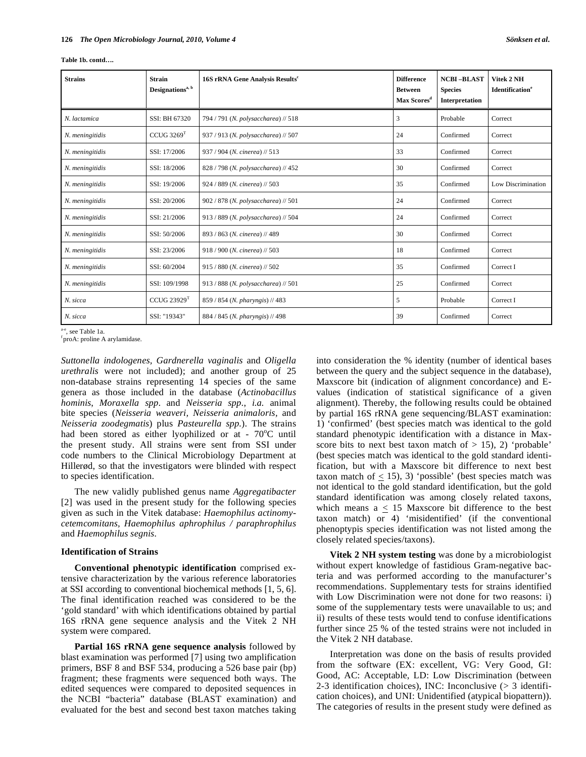| Table 1b. contd |  |
|-----------------|--|
|-----------------|--|

| <b>Strains</b>  | <b>Strain</b><br>$\mathbf{Designations}^{\mathrm{a, b}}$ | 16S rRNA Gene Analysis Results <sup>c</sup> | <b>Difference</b><br><b>Between</b><br>Max Scores <sup>d</sup> | <b>NCBI-BLAST</b><br><b>Species</b><br>Interpretation | Vitek 2 NH<br>Identification <sup>e</sup> |
|-----------------|----------------------------------------------------------|---------------------------------------------|----------------------------------------------------------------|-------------------------------------------------------|-------------------------------------------|
| N. lactamica    | SSI: BH 67320                                            | 794 / 791 (N. polysaccharea) // 518         | 3                                                              | Probable                                              | Correct                                   |
| N. meningitidis | CCUG~3269 <sup>T</sup>                                   | 937 / 913 (N. polysaccharea) // 507         | 24                                                             | Confirmed                                             | Correct                                   |
| N. meningitidis | SSI: 17/2006                                             | 937 / 904 (N. cinerea) // 513               | 33                                                             | Confirmed                                             | Correct                                   |
| N. meningitidis | SSI: 18/2006                                             | 828 / 798 (N. polysaccharea) // 452         | 30                                                             | Confirmed                                             | Correct                                   |
| N. meningitidis | SSI: 19/2006                                             | 924 / 889 (N. cinerea) // 503               | 35                                                             | Confirmed                                             | Low Discrimination                        |
| N. meningitidis | SSI: 20/2006                                             | 902 / 878 (N. polysaccharea) // 501         | 24                                                             | Confirmed                                             | Correct                                   |
| N. meningitidis | SSI: 21/2006                                             | 913 / 889 (N. polysaccharea) // 504         | 24                                                             | Confirmed                                             | Correct                                   |
| N. meningitidis | SSI: 50/2006                                             | 893 / 863 (N. cinerea) // 489               | 30                                                             | Confirmed                                             | Correct                                   |
| N. meningitidis | SSI: 23/2006                                             | $918/900$ (N. cinerea) // 503               | 18                                                             | Confirmed                                             | Correct                                   |
| N. meningitidis | SSI: 60/2004                                             | 915 / 880 (N. cinerea) // 502               | 35                                                             | Confirmed                                             | Correct I                                 |
| N. meningitidis | SSI: 109/1998                                            | 913 / 888 (N. polysaccharea) // 501         | 25                                                             | Confirmed                                             | Correct                                   |
| N. sicca        | CCUG $23929$ <sup>T</sup>                                | 859 / 854 (N. pharyngis) // 483             | 5                                                              | Probable                                              | Correct I                                 |
| N. sicca        | SSI: "19343"                                             | 884 / 845 (N. pharyngis) // 498             | 39                                                             | Confirmed                                             | Correct                                   |

a-e, see Table 1a.

proA: proline A arylamidase.

*Suttonella indologenes, Gardnerella vaginalis* and *Oligella urethralis* were not included); and another group of 25 non-database strains representing 14 species of the same genera as those included in the database (*Actinobacillus hominis*, *Moraxella spp*. and *Neisseria spp*., *i.a.* animal bite species (*Neisseria weaveri, Neisseria animaloris,* and *Neisseria zoodegmatis*) plus *Pasteurella spp.*). The strains had been stored as either lyophilized or at - 70°C until the present study. All strains were sent from SSI under code numbers to the Clinical Microbiology Department at Hillerød, so that the investigators were blinded with respect to species identification.

 The new validly published genus name *Aggregatibacter* [2] was used in the present study for the following species given as such in the Vitek database: *Haemophilus actinomycetemcomitans, Haemophilus aphrophilus / paraphrophilus* and *Haemophilus segnis.* 

### **Identification of Strains**

 **Conventional phenotypic identification** comprised extensive characterization by the various reference laboratories at SSI according to conventional biochemical methods [1, 5, 6]. The final identification reached was considered to be the 'gold standard' with which identifications obtained by partial 16S rRNA gene sequence analysis and the Vitek 2 NH system were compared.

 **Partial 16S rRNA gene sequence analysis** followed by blast examination was performed [7] using two amplification primers, BSF 8 and BSF 534, producing a 526 base pair (bp) fragment; these fragments were sequenced both ways. The edited sequences were compared to deposited sequences in the NCBI "bacteria" database (BLAST examination) and evaluated for the best and second best taxon matches taking into consideration the % identity (number of identical bases between the query and the subject sequence in the database), Maxscore bit (indication of alignment concordance) and Evalues (indication of statistical significance of a given alignment). Thereby, the following results could be obtained by partial 16S rRNA gene sequencing/BLAST examination: 1) 'confirmed' (best species match was identical to the gold standard phenotypic identification with a distance in Maxscore bits to next best taxon match of  $> 15$ ), 2) 'probable' (best species match was identical to the gold standard identification, but with a Maxscore bit difference to next best taxon match of  $\leq$  15), 3) 'possible' (best species match was not identical to the gold standard identification, but the gold standard identification was among closely related taxons, which means  $a \leq 15$  Maxscore bit difference to the best taxon match) or 4) 'misidentified' (if the conventional phenoptypis species identification was not listed among the closely related species/taxons).

 **Vitek 2 NH system testing** was done by a microbiologist without expert knowledge of fastidious Gram-negative bacteria and was performed according to the manufacturer's recommendations. Supplementary tests for strains identified with Low Discrimination were not done for two reasons: i) some of the supplementary tests were unavailable to us; and ii) results of these tests would tend to confuse identifications further since 25 % of the tested strains were not included in the Vitek 2 NH database.

 Interpretation was done on the basis of results provided from the software (EX: excellent, VG: Very Good, GI: Good, AC: Acceptable, LD: Low Discrimination (between 2-3 identification choices), INC: Inconclusive (> 3 identification choices), and UNI: Unidentified (atypical biopattern)). The categories of results in the present study were defined as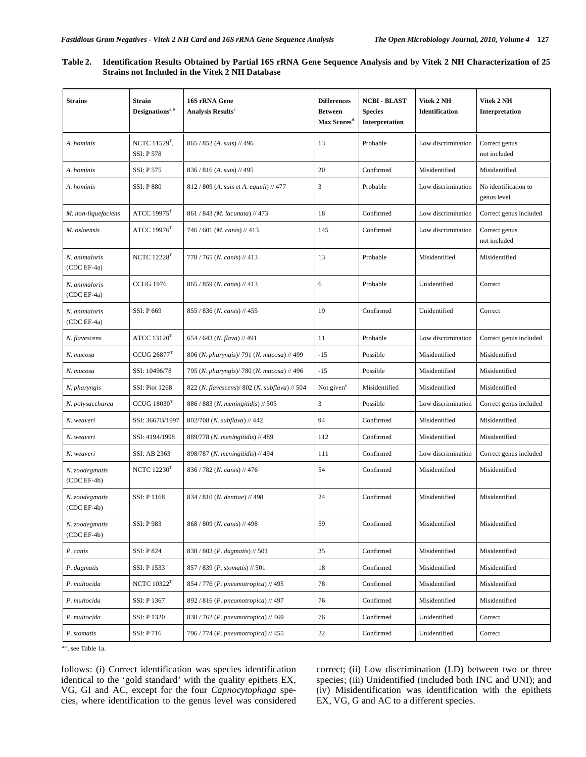| Table 2. | 15 Identification Results Obtained by Partial 16S rRNA Gene Sequence Analysis and by Vitek 2 NH Characterization of 35 |
|----------|------------------------------------------------------------------------------------------------------------------------|
|          | <b>Strains not Included in the Vitek 2 NH Database</b>                                                                 |

| <b>Strains</b>                  | <b>Strain</b><br>Designations <sup>a,b</sup> | 16S rRNA Gene<br><b>Analysis Results<sup>c</sup></b> | <b>Differences</b><br><b>Between</b><br>Max Scores <sup>d</sup> | <b>NCBI - BLAST</b><br><b>Species</b><br>Interpretation | Vitek 2 NH<br><b>Identification</b> | Vitek 2 NH<br>Interpretation        |
|---------------------------------|----------------------------------------------|------------------------------------------------------|-----------------------------------------------------------------|---------------------------------------------------------|-------------------------------------|-------------------------------------|
| A. hominis                      | NCTC $11529T$ ,<br><b>SSI: P578</b>          | 865 / 852 (A. suis) // 496                           | 13                                                              | Probable                                                | Low discrimination                  | Correct genus<br>not included       |
| A. hominis                      | SSI: P 575                                   | $836 / 816$ (A. suis) // 495                         | 20                                                              | Confirmed                                               | Misidentified                       | Misidentified                       |
| A. hominis                      | <b>SSI: P880</b>                             | $812 / 809$ (A. suis et A. equali) // 477            | 3                                                               | Probable                                                | Low discrimination                  | No identification to<br>genus level |
| M. non-liquefaciens             | ATCC $19975$ <sup>T</sup>                    | 861 / 843 (M. lacunata) // 473                       | 18                                                              | Confirmed                                               | Low discrimination                  | Correct genus included              |
| M. osloensis                    | ATCC $19976$ <sup>T</sup>                    | $746/601$ ( <i>M. canis</i> ) // 413                 | 145                                                             | Confirmed                                               | Low discrimination                  | Correct genus<br>not included       |
| N. animaloris<br>(CDC EF-4a)    | NCTC $12228$ <sup>T</sup>                    | 778 / 765 (N. canis) // 413                          | 13                                                              | Probable                                                | Misidentified                       | Misidentified                       |
| N. animaloris<br>(CDC EF-4a)    | <b>CCUG 1976</b>                             | 865 / 859 (N. canis) // 413                          | 6                                                               | Probable                                                | Unidentified                        | Correct                             |
| N. animaloris<br>(CDC EF-4a)    | SSI: P 669                                   | 855 / 836 (N. canis) // 455                          | 19                                                              | Confirmed                                               | Unidentified                        | Correct                             |
| N. flavescens                   | ATCC $13120T$                                | $654/643$ (N. flava) // 491                          | 11                                                              | Probable                                                | Low discrimination                  | Correct genus included              |
| N. mucosa                       | <b>CCUG 26877</b> <sup>T</sup>               | 806 (N. pharyngis)/ 791 (N. mucosa) // 499           | $-15$                                                           | Possible                                                | Misidentified                       | Misidentified                       |
| N. mucosa                       | SSI: 10496/78                                | 795 (N. pharyngis)/780 (N. mucosa) // 496            | $-15$                                                           | Possible                                                | Misidentified                       | Misidentified                       |
| N. pharyngis                    | SSI: Piot 1268                               | 822 (N. flavescens)/ 802 (N. subflava) // 504        | Not given <sup>e</sup>                                          | Misidentified                                           | Misidentified                       | Misidentified                       |
| N. polysaccharea                | $CCUG$ $18030T$                              | 886 / 883 (N. meningitidis) // 505                   | 3                                                               | Possible                                                | Low discrimination                  | Correct genus included              |
| N. weaveri                      | SSI: 3667B/1997                              | 802/708 (N. subflava) // 442                         | 94                                                              | Confirmed                                               | Misidentified                       | Misidentified                       |
| N. weaveri                      | SSI: 4194/1998                               | 889/778 (N. meningitidis) // 489                     | 112                                                             | Confirmed                                               | Misidentified                       | Misidentified                       |
| N. weaveri                      | SSI: AB 2363                                 | 898/787 (N. meningitidis) // 494                     | 111                                                             | Confirmed                                               | Low discrimination                  | Correct genus included              |
| N. zoodegmatis<br>$(CDC EF-4b)$ | NCTC $12230T$                                | 836 / 782 (N. canis) // 476                          | 54                                                              | Confirmed                                               | Misidentified                       | Misidentified                       |
| N. zoodegmatis<br>(CDC EF-4b)   | SSI: P 1168                                  | 834 / 810 (N. dentiae) // 498                        | 24                                                              | Confirmed                                               | Misidentified                       | Misidentified                       |
| N. zoodegmatis<br>(CDC EF-4b)   | <b>SSI: P983</b>                             | 868 / 809 (N. canis) // 498                          | 59                                                              | Confirmed                                               | Misidentified                       | Misidentified                       |
| P. canis                        | <b>SSI: P824</b>                             | 838 / 803 (P. dagmatis) // 501                       | 35                                                              | Confirmed                                               | Misidentified                       | Misidentified                       |
| P. dagmatis                     | SSI: P 1533                                  | $857 / 839$ ( <i>P. stomatis</i> ) // 501            | 18                                                              | Confirmed                                               | Misidentified                       | Misidentified                       |
| P. multocida                    | NCTC $10322$ <sup>T</sup>                    | 854 / 776 (P. pneumotropica) // 495                  | 78                                                              | Confirmed                                               | Misidentified                       | Misidentified                       |
| P. multocida                    | SSI: P 1367                                  | 892 / 816 (P. pneumotropica) // 497                  | 76                                                              | Confirmed                                               | Misidentified                       | Misidentified                       |
| P. multocida                    | SSI: P 1320                                  | 838 / 762 (P. pneumotropica) // 469                  | 76                                                              | Confirmed                                               | Unidentified                        | Correct                             |
| P. stomatis                     | SSI: P 716                                   | 796 / 774 (P. pneumotropica) // 455                  | 22                                                              | Confirmed                                               | Unidentified                        | Correct                             |

a-e, see Table 1a.

follows: (i) Correct identification was species identification identical to the 'gold standard' with the quality epithets EX, VG, GI and AC, except for the four *Capnocytophaga* species, where identification to the genus level was considered

correct; (ii) Low discrimination (LD) between two or three species; (iii) Unidentified (included both INC and UNI); and (iv) Misidentification was identification with the epithets EX, VG, G and AC to a different species.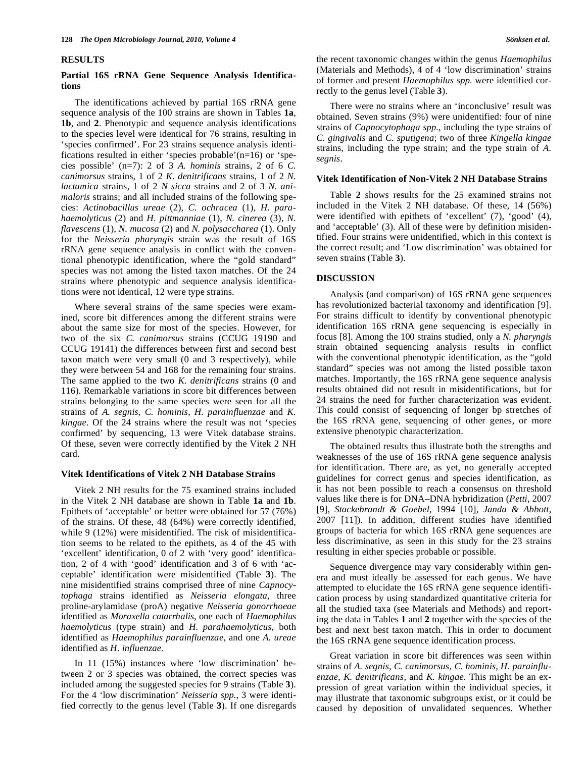### **RESULTS**

## **Partial 16S rRNA Gene Sequence Analysis Identifications**

 The identifications achieved by partial 16S rRNA gene sequence analysis of the 100 strains are shown in Tables **1a**, **1b**, and **2**. Phenotypic and sequence analysis identifications to the species level were identical for 76 strains, resulting in 'species confirmed'. For 23 strains sequence analysis identifications resulted in either 'species probable'(n=16) or 'species possible' (n=7): 2 of 3 *A. hominis* strains, 2 of 6 *C. canimorsus* strains, 1 of 2 *K. denitrificans* strains, 1 of 2 *N. lactamica* strains, 1 of 2 *N sicca* strains and 2 of 3 *N. animaloris* strains; and all included strains of the following species: *Actinobacillus ureae* (2)*, C. ochracea* (1), *H. parahaemolyticus* (2) and *H. pittmanniae* (1), *N. cinerea* (3), *N. flavescens* (1), *N. mucosa* (2) and *N. polysaccharea* (1). Only for the *Neisseria pharyngis* strain was the result of 16S rRNA gene sequence analysis in conflict with the conventional phenotypic identification*,* where the "gold standard" species was not among the listed taxon matches. Of the 24 strains where phenotypic and sequence analysis identifications were not identical, 12 were type strains.

 Where several strains of the same species were examined, score bit differences among the different strains were about the same size for most of the species. However, for two of the six *C. canimorsus* strains (CCUG 19190 and CCUG 19141) the differences between first and second best taxon match were very small (0 and 3 respectively), while they were between 54 and 168 for the remaining four strains. The same applied to the two *K. denitrificans* strains (0 and 116). Remarkable variations in score bit differences between strains belonging to the same species were seen for all the strains of *A. segnis, C. hominis*, *H. parainfluenzae* and *K. kingae*. Of the 24 strains where the result was not 'species confirmed' by sequencing, 13 were Vitek database strains. Of these, seven were correctly identified by the Vitek 2 NH card.

### **Vitek Identifications of Vitek 2 NH Database Strains**

 Vitek 2 NH results for the 75 examined strains included in the Vitek 2 NH database are shown in Table **1a** and **1b**. Epithets of 'acceptable' or better were obtained for 57 (76%) of the strains. Of these, 48 (64%) were correctly identified, while 9 (12%) were misidentified. The risk of misidentification seems to be related to the epithets, as 4 of the 45 with 'excellent' identification, 0 of 2 with 'very good' identification, 2 of 4 with 'good' identification and 3 of 6 with 'acceptable' identification were misidentified (Table **3**). The nine misidentified strains comprised three of nine *Capnocytophaga* strains identified as *Neisseria elongata*, three proline-arylamidase (proA) negative *Neisseria gonorrhoeae* identified as *Moraxella catarrhalis*, one each of *Haemophilus haemolyticus* (type strain) and *H. parahaemolyticus,* both identified as *Haemophilus parainfluenzae*, and one *A. ureae* identified as *H. influenzae.* 

 In 11 (15%) instances where 'low discrimination' between 2 or 3 species was obtained, the correct species was included among the suggested species for 9 strains (Table **3**). For the 4 'low discrimination' *Neisseria spp.*, 3 were identified correctly to the genus level (Table **3**). If one disregards the recent taxonomic changes within the genus *Haemophilus* (Materials and Methods), 4 of 4 'low discrimination' strains of former and present *Haemophilus spp.* were identified correctly to the genus level (Table **3**).

 There were no strains where an 'inconclusive' result was obtained. Seven strains (9%) were unidentified: four of nine strains of *Capnocytophaga spp.*, including the type strains of *C. gingivalis* and *C. sputigena*; two of three *Kingella kingae*  strains, including the type strain; and the type strain of *A. segnis*.

### **Vitek Identification of Non-Vitek 2 NH Database Strains**

 Table **2** shows results for the 25 examined strains not included in the Vitek 2 NH database. Of these, 14 (56%) were identified with epithets of 'excellent' (7), 'good' (4), and 'acceptable' (3). All of these were by definition misidentified. Four strains were unidentified, which in this context is the correct result; and 'Low discrimination' was obtained for seven strains (Table **3**).

### **DISCUSSION**

 Analysis (and comparison) of 16S rRNA gene sequences has revolutionized bacterial taxonomy and identification [9]. For strains difficult to identify by conventional phenotypic identification 16S rRNA gene sequencing is especially in focus [8]. Among the 100 strains studied, only a *N. pharyngis* strain obtained sequencing analysis results in conflict with the conventional phenotypic identification, as the "gold standard" species was not among the listed possible taxon matches. Importantly, the 16S rRNA gene sequence analysis results obtained did not result in misidentifications, but for 24 strains the need for further characterization was evident. This could consist of sequencing of longer bp stretches of the 16S rRNA gene, sequencing of other genes, or more extensive phenotypic characterization.

 The obtained results thus illustrate both the strengths and weaknesses of the use of 16S rRNA gene sequence analysis for identification. There are, as yet, no generally accepted guidelines for correct genus and species identification, as it has not been possible to reach a consensus on threshold values like there is for DNA–DNA hybridization (*Petti*, 2007 [9], *Stackebrandt & Goebel*, 1994 [10], *Janda & Abbott*, 2007 [11]). In addition, different studies have identified groups of bacteria for which 16S rRNA gene sequences are less discriminative, as seen in this study for the 23 strains resulting in either species probable or possible.

 Sequence divergence may vary considerably within genera and must ideally be assessed for each genus. We have attempted to elucidate the 16S rRNA gene sequence identification process by using standardized quantitative criteria for all the studied taxa (see Materials and Methods) and reporting the data in Tables **1** and **2** together with the species of the best and next best taxon match. This in order to document the 16S rRNA gene sequence identification process.

 Great variation in score bit differences was seen within strains of *A. segnis, C. canimorsus, C. hominis*, *H. parainfluenzae, K. denitrificans,* and *K. kingae*. This might be an expression of great variation within the individual species, it may illustrate that taxonomic subgroups exist, or it could be caused by deposition of unvalidated sequences. Whether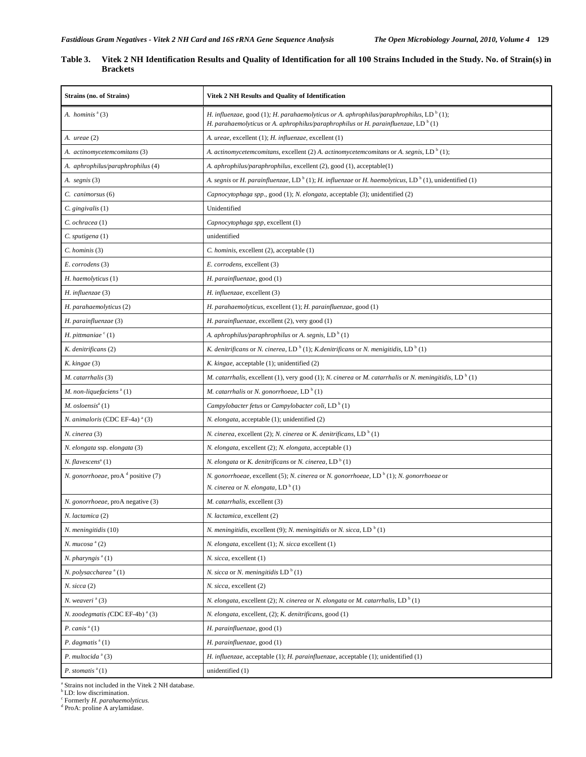| Table 3. | Vitek 2 NH Identification Results and Quality of Identification for all 100 Strains Included in the Study. No. of Strain(s) in |
|----------|--------------------------------------------------------------------------------------------------------------------------------|
|          | <b>Brackets</b>                                                                                                                |

| <b>Strains (no. of Strains)</b>             | Vitek 2 NH Results and Quality of Identification                                                                                                                                                      |
|---------------------------------------------|-------------------------------------------------------------------------------------------------------------------------------------------------------------------------------------------------------|
| A. hominis $a(3)$                           | H. influenzae, good (1); H. parahaemolyticus or A. aphrophilus/paraphrophilus, LD <sup>b</sup> (1);<br>H. parahaemolyticus or A. aphrophilus/paraphrophilus or H. parainfluenzae, LD <sup>b</sup> (1) |
| A. ureae (2)                                | A. ureae, excellent (1); H. influenzae, excellent (1)                                                                                                                                                 |
| A. actinomycetemcomitans (3)                | A. actinomycetemcomitans, excellent (2) A. actinomycetemcomitans or A. segnis, LD <sup>b</sup> (1);                                                                                                   |
| A. aphrophilus/paraphrophilus (4)           | A. aphrophilus/paraphrophilus, excellent (2), good (1), acceptable(1)                                                                                                                                 |
| A. segnis (3)                               | A. segnis or H. parainfluenzae, LD <sup>b</sup> (1); H. influenzae or H. haemolyticus, LD <sup>b</sup> (1), unidentified (1)                                                                          |
| C. canimorsus (6)                           | Capnocytophaga spp., good (1); N. elongata, acceptable (3); unidentified (2)                                                                                                                          |
| $C.$ gingivalis $(1)$                       | Unidentified                                                                                                                                                                                          |
| C. ochracea (1)                             | Capnocytophaga spp, excellent (1)                                                                                                                                                                     |
| C. sputigena (1)                            | unidentified                                                                                                                                                                                          |
| $C.$ hominis $(3)$                          | C. hominis, excellent (2), acceptable (1)                                                                                                                                                             |
| E. corrodens (3)                            | E. corrodens, excellent (3)                                                                                                                                                                           |
| H. haemolyticus (1)                         | H. parainfluenzae, good (1)                                                                                                                                                                           |
| H. influenzae (3)                           | H. influenzae, excellent (3)                                                                                                                                                                          |
| H. parahaemolyticus (2)                     | H. parahaemolyticus, excellent (1); H. parainfluenzae, good (1)                                                                                                                                       |
| H. parainfluenzae (3)                       | H. parainfluenzae, excellent (2), very good (1)                                                                                                                                                       |
| H. pittmaniae $\degree$ (1)                 | A. aphrophilus/paraphrophilus or A. segnis, LD <sup>b</sup> (1)                                                                                                                                       |
| K. denitrificans (2)                        | K. denitrificans or N. cinerea, LD <sup>b</sup> (1); K.denitrificans or N. menigitidis, LD <sup>b</sup> (1)                                                                                           |
| $K.$ kingae $(3)$                           | K. kingae, acceptable (1); unidentified (2)                                                                                                                                                           |
| M. catarrhalis (3)                          | M. catarrhalis, excellent (1), very good (1); N. cinerea or M. catarrhalis or N. meningitidis, LD <sup>b</sup> (1)                                                                                    |
| M. non-liquefaciens <sup>a</sup> (1)        | M. catarrhalis or N. gonorrhoeae, LD <sup>b</sup> (1)                                                                                                                                                 |
| $M.$ osloensis $a(1)$                       | Campylobacter fetus or Campylobacter coli, LD <sup>b</sup> (1)                                                                                                                                        |
| N. animaloris (CDC EF-4a) <sup>a</sup> (3)  | N. elongata, acceptable (1); unidentified (2)                                                                                                                                                         |
| N. cinerea (3)                              | N. cinerea, excellent (2); N. cinerea or K. denitrificans, LD <sup>b</sup> (1)                                                                                                                        |
| N. elongata ssp. elongata (3)               | N. elongata, excellent (2); N. elongata, acceptable (1)                                                                                                                                               |
| N. flavescens <sup>a</sup> (1)              | N. elongata or K. denitrificans or N. cinerea, $LD^b(1)$                                                                                                                                              |
| N. gonorrhoeae, proA d positive (7)         | N. gonorrhoeae, excellent (5); N. cinerea or N. gonorrhoeae, LD <sup>b</sup> (1); N. gonorrhoeae or                                                                                                   |
|                                             | N. cinerea or N. elongata, LD <sup>b</sup> (1)                                                                                                                                                        |
| N. gonorrhoeae, proA negative (3)           | M. catarrhalis, excellent (3)                                                                                                                                                                         |
| N. lactamica (2)                            | N. lactamica, excellent (2)                                                                                                                                                                           |
| N. meningitidis (10)                        | <i>N. meningitidis, excellent (9); N. meningitidis or N. sicca, LD</i> <sup>b</sup> (1)                                                                                                               |
| $N.$ mucosa $^{\rm a}$ (2)                  | N. elongata, excellent (1); N. sicca excellent (1)                                                                                                                                                    |
| N. pharyngis <sup>a</sup> (1)               | N. sicca, excellent (1)                                                                                                                                                                               |
| N. polysaccharea <sup>a</sup> (1)           | <i>N. sicca</i> or <i>N. meningitidis</i> $LDb(1)$                                                                                                                                                    |
| $N.$ sicca $(2)$                            | N. sicca, excellent (2)                                                                                                                                                                               |
| N. weaveri <sup>a</sup> (3)                 | <i>N. elongata, excellent (2); N. cinerea or N. elongata or M. catarrhalis, LD</i> <sup>b</sup> (1)                                                                                                   |
| N. zoodegmatis (CDC EF-4b) <sup>a</sup> (3) | N. elongata, excellent, (2); K. denitrificans, good (1)                                                                                                                                               |
| P. canis $a(1)$                             | H. parainfluenzae, good (1)                                                                                                                                                                           |
| P. dagmatis $a(1)$                          | H. parainfluenzae, good (1)                                                                                                                                                                           |
| P. multocida $a^a(3)$                       | H. influenzae, acceptable $(1)$ ; H. parainfluenzae, acceptable $(1)$ ; unidentified $(1)$                                                                                                            |
| P. stomatis $a(1)$                          | unidentified (1)                                                                                                                                                                                      |

<sup>a</sup> Strains not included in the Vitek 2 NH database.<br><sup>b</sup> LD: low discrimination.<br><sup>c</sup> Formerly *H. parahaemolyticus*.<br><sup>d</sup> ProA: proline A arylamidase.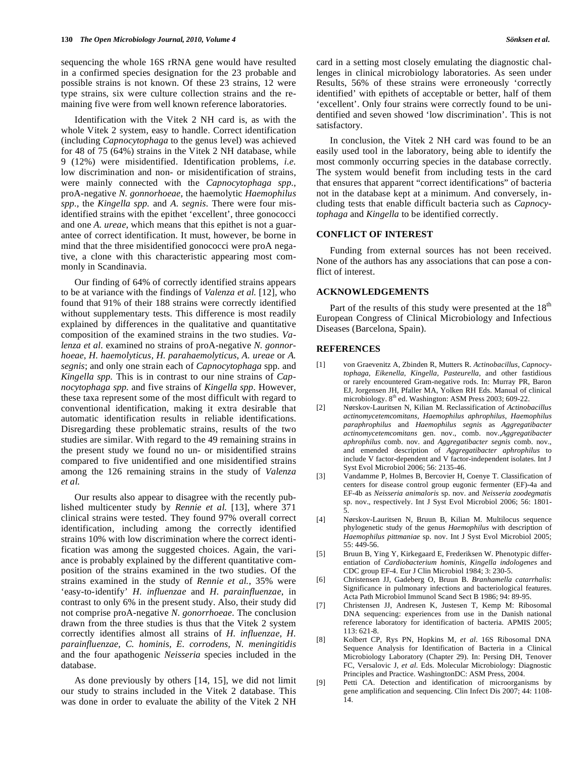sequencing the whole 16S rRNA gene would have resulted in a confirmed species designation for the 23 probable and possible strains is not known. Of these 23 strains, 12 were type strains, six were culture collection strains and the remaining five were from well known reference laboratories.

 Identification with the Vitek 2 NH card is, as with the whole Vitek 2 system, easy to handle. Correct identification (including *Capnocytophaga* to the genus level) was achieved for 48 of 75 (64%) strains in the Vitek 2 NH database, while 9 (12%) were misidentified. Identification problems, *i.e.* low discrimination and non- or misidentification of strains, were mainly connected with the *Capnocytophaga spp.*, proA-negative *N. gonnorhoeae*, the haemolytic *Haemophilus spp.,* the *Kingella spp.* and *A. segnis*. There were four misidentified strains with the epithet 'excellent', three gonococci and one *A. ureae*, which means that this epithet is not a guarantee of correct identification. It must, however, be borne in mind that the three misidentified gonococci were proA negative, a clone with this characteristic appearing most commonly in Scandinavia.

 Our finding of 64% of correctly identified strains appears to be at variance with the findings of *Valenza et al.* [12]*,* who found that 91% of their 188 strains were correctly identified without supplementary tests. This difference is most readily explained by differences in the qualitative and quantitative composition of the examined strains in the two studies. *Valenza et al.* examined no strains of proA-negative *N. gonnorhoeae*, *H. haemolyticus, H. parahaemolyticus*, *A. ureae* or *A. segnis*; and only one strain each of *Capnocytophaga* spp*.* and *Kingella spp.* This is in contrast to our nine strains of *Capnocytophaga spp.* and five strains of *Kingella spp.* However, these taxa represent some of the most difficult with regard to conventional identification, making it extra desirable that automatic identification results in reliable identifications. Disregarding these problematic strains, results of the two studies are similar. With regard to the 49 remaining strains in the present study we found no un- or misidentified strains compared to five unidentified and one misidentified strains among the 126 remaining strains in the study of *Valenza et al.* 

 Our results also appear to disagree with the recently published multicenter study by *Rennie et al.* [13], where 371 clinical strains were tested. They found 97% overall correct identification, including among the correctly identified strains 10% with low discrimination where the correct identification was among the suggested choices. Again, the variance is probably explained by the different quantitative composition of the strains examined in the two studies. Of the strains examined in the study of *Rennie et al.*, 35% were 'easy-to-identify' *H. influenzae* and *H. parainfluenzae*, in contrast to only 6% in the present study. Also, their study did not comprise proA-negative *N. gonorrhoeae.* The conclusion drawn from the three studies is thus that the Vitek 2 system correctly identifies almost all strains of *H. influenzae, H. parainfluenzae, C. hominis, E. corrodens, N. meningitidis* and the four apathogenic *Neisseria* species included in the database.

As done previously by others [14, 15], we did not limit our study to strains included in the Vitek 2 database. This was done in order to evaluate the ability of the Vitek 2 NH

card in a setting most closely emulating the diagnostic challenges in clinical microbiology laboratories. As seen under Results, 56% of these strains were erroneously 'correctly identified' with epithets of acceptable or better, half of them 'excellent'. Only four strains were correctly found to be unidentified and seven showed 'low discrimination'. This is not satisfactory*.* 

 In conclusion, the Vitek 2 NH card was found to be an easily used tool in the laboratory, being able to identify the most commonly occurring species in the database correctly. The system would benefit from including tests in the card that ensures that apparent "correct identifications" of bacteria not in the database kept at a minimum. And conversely, including tests that enable difficult bacteria such as *Capnocytophaga* and *Kingella* to be identified correctly.

### **CONFLICT OF INTEREST**

 Funding from external sources has not been received. None of the authors has any associations that can pose a conflict of interest.

### **ACKNOWLEDGEMENTS**

Part of the results of this study were presented at the  $18<sup>th</sup>$ European Congress of Clinical Microbiology and Infectious Diseases (Barcelona, Spain).

### **REFERENCES**

- [1] von Graevenitz A, Zbinden R, Mutters R. *Actinobacillus, Capnocytophaga, Eikenella, Kingella, Pasteurella,* and other fastidious or rarely encountered Gram-negative rods. In: Murray PR, Baron EJ, Jorgensen JH, Pfaller MA, Yolken RH Eds. Manual of clinical microbiology. 8<sup>th</sup> ed. Washington: ASM Press 2003; 609-22.
- [2] Nørskov-Lauritsen N, Kilian M. Reclassification of *Actinobacillus actinomycetemcomitans, Haemophilus aphrophilus, Haemophilus paraphrophilus* and *Haemophilus segnis* as *Aggregatibacter actinomycetemcomitans* gen. nov., comb. nov.,*Aggregatibacter aphrophilus* comb. nov. and *Aggregatibacter segnis* comb. nov., and emended description of *Aggregatibacter aphrophilus* to include V factor-dependent and V factor-independent isolates. Int J Syst Evol Microbiol 2006; 56: 2135-46.
- [3] Vandamme P, Holmes B, Bercovier H, Coenye T. Classification of centers for disease control group eugonic fermenter (EF)-4a and EF-4b as *Neisseria animaloris* sp. nov. and *Neisseria zoodegmatis* sp. nov., respectively. Int J Syst Evol Microbiol 2006; 56: 1801- 5.
- [4] Nørskov-Lauritsen N, Bruun B, Kilian M. Multilocus sequence phylogenetic study of the genus *Haemophilus* with description of *Haemophilus pittmaniae* sp. nov. Int J Syst Evol Microbiol 2005; 55: 449-56.
- [5] Bruun B, Ying Y, Kirkegaard E, Frederiksen W. Phenotypic differentiation of *Cardiobacterium hominis, Kingella indologenes* and CDC group EF-4. Eur J Clin Microbiol 1984; 3: 230-5.
- [6] Christensen JJ, Gadeberg O, Bruun B. *Branhamella catarrhalis*: Significance in pulmonary infections and bacteriological features. Acta Path Microbiol Immunol Scand Sect B 1986; 94: 89-95.
- [7] Christensen JJ, Andresen K, Justesen T, Kemp M: Ribosomal DNA sequencing: experiences from use in the Danish national reference laboratory for identification of bacteria. APMIS 2005; 113: 621-8.
- [8] Kolbert CP, Rys PN, Hopkins M, *et al*. 16S Ribosomal DNA Sequence Analysis for Identification of Bacteria in a Clinical Microbiology Laboratory (Chapter 29). In: Persing DH, Tenover FC, Versalovic J, *et al*. Eds. Molecular Microbiology: Diagnostic Principles and Practice. WashingtonDC: ASM Press, 2004.
- [9] Petti CA. Detection and identification of microorganisms by gene amplification and sequencing. Clin Infect Dis 2007; 44: 1108- 14.